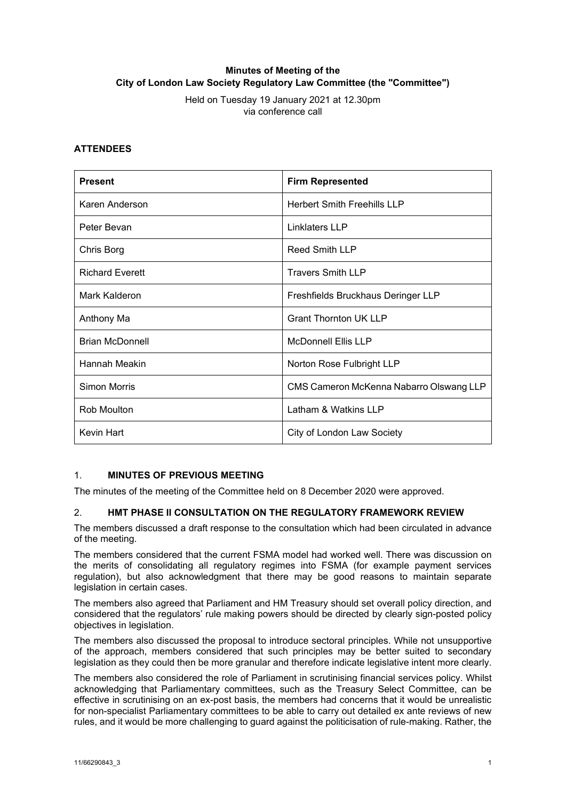# **Minutes of Meeting of the City of London Law Society Regulatory Law Committee (the "Committee")**

Held on Tuesday 19 January 2021 at 12.30pm via conference call

#### **ATTENDEES**

| <b>Present</b>         | <b>Firm Represented</b>                 |
|------------------------|-----------------------------------------|
| Karen Anderson         | <b>Herbert Smith Freehills LLP</b>      |
| Peter Bevan            | Linklaters LLP                          |
| Chris Borg             | <b>Reed Smith LLP</b>                   |
| <b>Richard Everett</b> | <b>Travers Smith LLP</b>                |
| Mark Kalderon          | Freshfields Bruckhaus Deringer LLP      |
| Anthony Ma             | <b>Grant Thornton UK LLP</b>            |
| <b>Brian McDonnell</b> | <b>McDonnell Ellis LLP</b>              |
| Hannah Meakin          | Norton Rose Fulbright LLP               |
| <b>Simon Morris</b>    | CMS Cameron McKenna Nabarro Olswang LLP |
| Rob Moulton            | Latham & Watkins LLP                    |
| Kevin Hart             | City of London Law Society              |

### 1. **MINUTES OF PREVIOUS MEETING**

The minutes of the meeting of the Committee held on 8 December 2020 were approved.

### 2. **HMT PHASE II CONSULTATION ON THE REGULATORY FRAMEWORK REVIEW**

The members discussed a draft response to the consultation which had been circulated in advance of the meeting.

The members considered that the current FSMA model had worked well. There was discussion on the merits of consolidating all regulatory regimes into FSMA (for example payment services regulation), but also acknowledgment that there may be good reasons to maintain separate legislation in certain cases.

The members also agreed that Parliament and HM Treasury should set overall policy direction, and considered that the regulators' rule making powers should be directed by clearly sign-posted policy objectives in legislation.

The members also discussed the proposal to introduce sectoral principles. While not unsupportive of the approach, members considered that such principles may be better suited to secondary legislation as they could then be more granular and therefore indicate legislative intent more clearly.

The members also considered the role of Parliament in scrutinising financial services policy. Whilst acknowledging that Parliamentary committees, such as the Treasury Select Committee, can be effective in scrutinising on an ex-post basis, the members had concerns that it would be unrealistic for non-specialist Parliamentary committees to be able to carry out detailed ex ante reviews of new rules, and it would be more challenging to guard against the politicisation of rule-making. Rather, the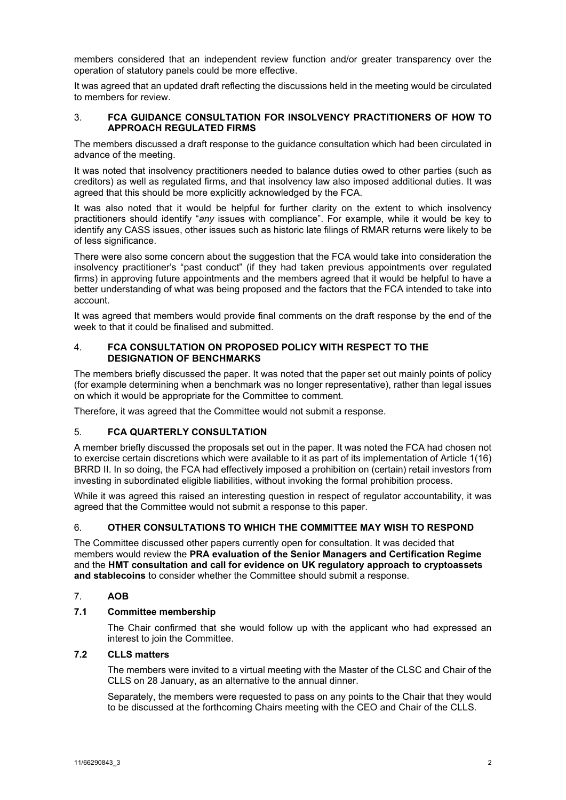members considered that an independent review function and/or greater transparency over the operation of statutory panels could be more effective.

It was agreed that an updated draft reflecting the discussions held in the meeting would be circulated to members for review.

### 3. **FCA GUIDANCE CONSULTATION FOR INSOLVENCY PRACTITIONERS OF HOW TO APPROACH REGULATED FIRMS**

The members discussed a draft response to the guidance consultation which had been circulated in advance of the meeting.

It was noted that insolvency practitioners needed to balance duties owed to other parties (such as creditors) as well as regulated firms, and that insolvency law also imposed additional duties. It was agreed that this should be more explicitly acknowledged by the FCA.

It was also noted that it would be helpful for further clarity on the extent to which insolvency practitioners should identify "*any* issues with compliance". For example, while it would be key to identify any CASS issues, other issues such as historic late filings of RMAR returns were likely to be of less significance.

There were also some concern about the suggestion that the FCA would take into consideration the insolvency practitioner's "past conduct" (if they had taken previous appointments over regulated firms) in approving future appointments and the members agreed that it would be helpful to have a better understanding of what was being proposed and the factors that the FCA intended to take into account.

It was agreed that members would provide final comments on the draft response by the end of the week to that it could be finalised and submitted.

### 4. **FCA CONSULTATION ON PROPOSED POLICY WITH RESPECT TO THE DESIGNATION OF BENCHMARKS**

The members briefly discussed the paper. It was noted that the paper set out mainly points of policy (for example determining when a benchmark was no longer representative), rather than legal issues on which it would be appropriate for the Committee to comment.

Therefore, it was agreed that the Committee would not submit a response.

### 5. **FCA QUARTERLY CONSULTATION**

A member briefly discussed the proposals set out in the paper. It was noted the FCA had chosen not to exercise certain discretions which were available to it as part of its implementation of Article 1(16) BRRD II. In so doing, the FCA had effectively imposed a prohibition on (certain) retail investors from investing in subordinated eligible liabilities, without invoking the formal prohibition process.

While it was agreed this raised an interesting question in respect of regulator accountability, it was agreed that the Committee would not submit a response to this paper.

### 6. **OTHER CONSULTATIONS TO WHICH THE COMMITTEE MAY WISH TO RESPOND**

The Committee discussed other papers currently open for consultation. It was decided that members would review the **PRA evaluation of the Senior Managers and Certification Regime**  and the **HMT consultation and call for evidence on UK regulatory approach to cryptoassets and stablecoins** to consider whether the Committee should submit a response.

# 7. **AOB**

### **7.1 Committee membership**

The Chair confirmed that she would follow up with the applicant who had expressed an interest to join the Committee.

### **7.2 CLLS matters**

The members were invited to a virtual meeting with the Master of the CLSC and Chair of the CLLS on 28 January, as an alternative to the annual dinner.

Separately, the members were requested to pass on any points to the Chair that they would to be discussed at the forthcoming Chairs meeting with the CEO and Chair of the CLLS.